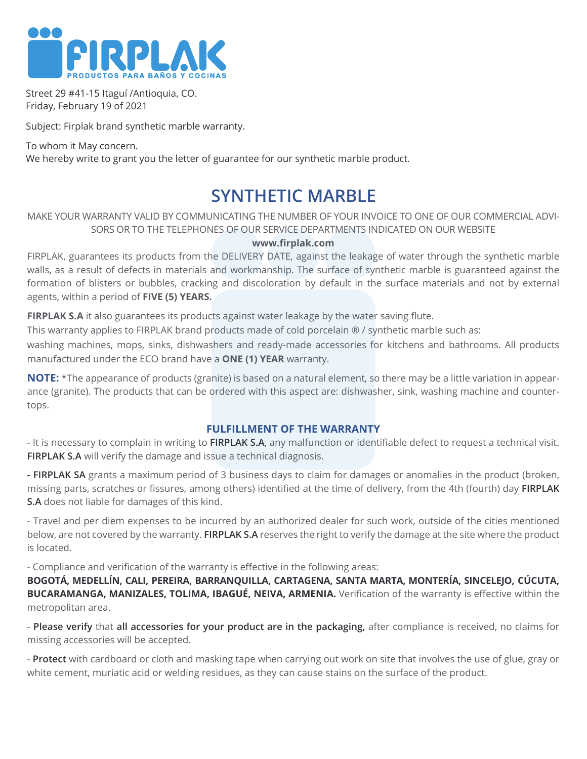

Street 29 #41-15 Itaguí /Antioquia, CO. Friday, February 19 of 2021

Subject: Firplak brand synthetic marble warranty.

To whom it May concern. We hereby write to grant you the letter of guarantee for our synthetic marble product.

# **SYNTHETIC MARBLE**

#### MAKE YOUR WARRANTY VALID BY COMMUNICATING THE NUMBER OF YOUR INVOICE TO ONE OF OUR COMMERCIAL ADVI-SORS OR TO THE TELEPHONES OF OUR SERVICE DEPARTMENTS INDICATED ON OUR WEBSITE

#### **www.firplak.com**

FIRPLAK, guarantees its products from the DELIVERY DATE, against the leakage of water through the synthetic marble walls, as a result of defects in materials and workmanship. The surface of synthetic marble is guaranteed against the formation of blisters or bubbles, cracking and discoloration by default in the surface materials and not by external agents, within a period of **FIVE (5) YEARS.**

**FIRPLAK S.A** it also guarantees its products against water leakage by the water saving flute.

This warranty applies to FIRPLAK brand products made of cold porcelain ® / synthetic marble such as:

washing machines, mops, sinks, dishwashers and ready-made accessories for kitchens and bathrooms. All products manufactured under the ECO brand have a **ONE (1) YEAR** warranty.

**NOTE:** \*The appearance of products (granite) is based on a natural element, so there may be a little variation in appearance (granite). The products that can be ordered with this aspect are: dishwasher, sink, washing machine and countertops.

#### **FULFILLMENT OF THE WARRANTY**

- It is necessary to complain in writing to **FIRPLAK S.A**, any malfunction or identifiable defect to request a technical visit. **FIRPLAK S.A** will verify the damage and issue a technical diagnosis.

**- FIRPLAK SA** grants a maximum period of 3 business days to claim for damages or anomalies in the product (broken, missing parts, scratches or fissures, among others) identified at the time of delivery, from the 4th (fourth) day **FIRPLAK S.A** does not liable for damages of this kind.

- Travel and per diem expenses to be incurred by an authorized dealer for such work, outside of the cities mentioned below, are not covered by the warranty. **FIRPLAK S.A** reserves the right to verify the damage at the site where the product is located.

- Compliance and verification of the warranty is effective in the following areas:

**BOGOTÁ, MEDELLÍN, CALI, PEREIRA, BARRANQUILLA, CARTAGENA, SANTA MARTA, MONTERÍA, SINCELEJO, CÚCUTA, BUCARAMANGA, MANIZALES, TOLIMA, IBAGUÉ, NEIVA, ARMENIA.** Verification of the warranty is effective within the metropolitan area.

- **Please verify** that **all accessories for your product are in the packaging,** after compliance is received, no claims for missing accessories will be accepted.

- **Protect** with cardboard or cloth and masking tape when carrying out work on site that involves the use of glue, gray or white cement, muriatic acid or welding residues, as they can cause stains on the surface of the product.